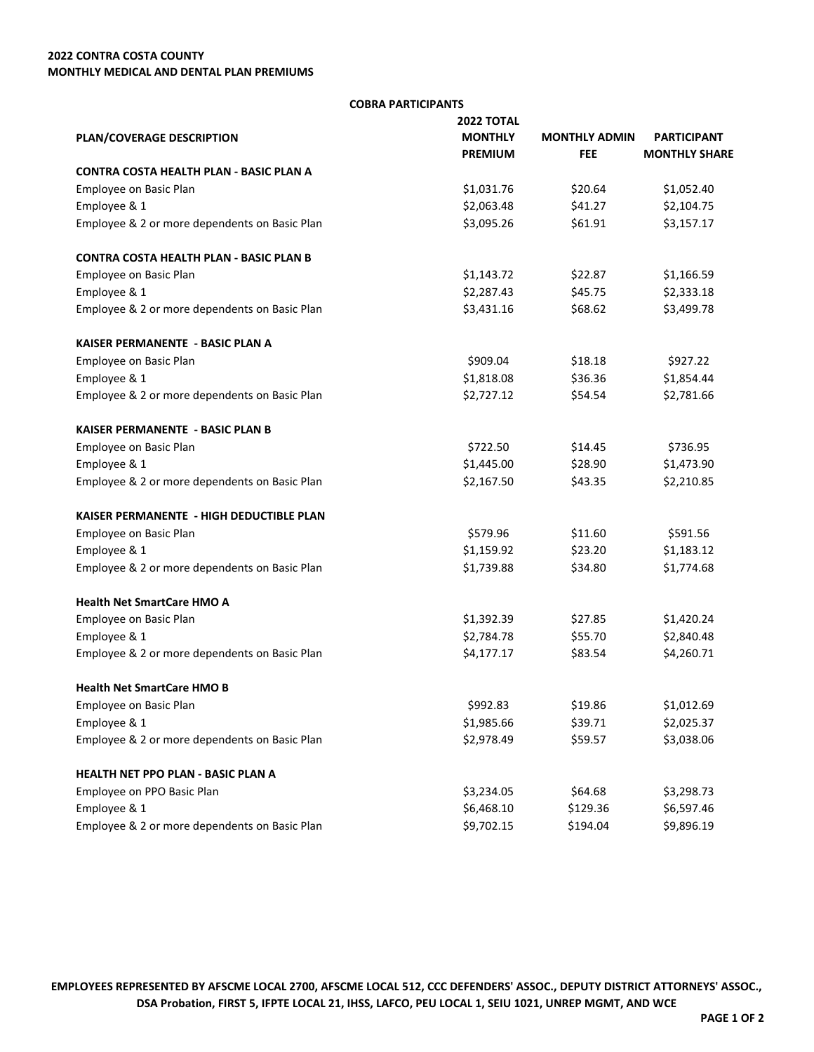## **2022 CONTRA COSTA COUNTY MONTHLY MEDICAL AND DENTAL PLAN PREMIUMS**

## **COBRA PARTICIPANTS**

|                                                | <b>2022 TOTAL</b> | <b>MONTHLY ADMIN</b> | <b>PARTICIPANT</b>   |
|------------------------------------------------|-------------------|----------------------|----------------------|
| PLAN/COVERAGE DESCRIPTION                      | <b>MONTHLY</b>    |                      |                      |
|                                                | <b>PREMIUM</b>    | <b>FEE</b>           | <b>MONTHLY SHARE</b> |
| <b>CONTRA COSTA HEALTH PLAN - BASIC PLAN A</b> |                   |                      |                      |
| Employee on Basic Plan                         | \$1,031.76        | \$20.64              | \$1,052.40           |
| Employee & 1                                   | \$2,063.48        | \$41.27              | \$2,104.75           |
| Employee & 2 or more dependents on Basic Plan  | \$3,095.26        | \$61.91              | \$3,157.17           |
| <b>CONTRA COSTA HEALTH PLAN - BASIC PLAN B</b> |                   |                      |                      |
| Employee on Basic Plan                         | \$1,143.72        | \$22.87              | \$1,166.59           |
| Employee & 1                                   | \$2,287.43        | \$45.75              | \$2,333.18           |
| Employee & 2 or more dependents on Basic Plan  | \$3,431.16        | \$68.62              | \$3,499.78           |
| KAISER PERMANENTE - BASIC PLAN A               |                   |                      |                      |
| Employee on Basic Plan                         | \$909.04          | \$18.18              | \$927.22             |
| Employee & 1                                   | \$1,818.08        | \$36.36              | \$1,854.44           |
| Employee & 2 or more dependents on Basic Plan  | \$2,727.12        | \$54.54              | \$2,781.66           |
| KAISER PERMANENTE - BASIC PLAN B               |                   |                      |                      |
| Employee on Basic Plan                         | \$722.50          | \$14.45              | \$736.95             |
| Employee & 1                                   | \$1,445.00        | \$28.90              | \$1,473.90           |
| Employee & 2 or more dependents on Basic Plan  | \$2,167.50        | \$43.35              | \$2,210.85           |
| KAISER PERMANENTE - HIGH DEDUCTIBLE PLAN       |                   |                      |                      |
| Employee on Basic Plan                         | \$579.96          | \$11.60              | \$591.56             |
| Employee & 1                                   | \$1,159.92        | \$23.20              | \$1,183.12           |
| Employee & 2 or more dependents on Basic Plan  | \$1,739.88        | \$34.80              | \$1,774.68           |
| <b>Health Net SmartCare HMO A</b>              |                   |                      |                      |
| Employee on Basic Plan                         | \$1,392.39        | \$27.85              | \$1,420.24           |
| Employee & 1                                   | \$2,784.78        | \$55.70              | \$2,840.48           |
| Employee & 2 or more dependents on Basic Plan  | \$4,177.17        | \$83.54              | \$4,260.71           |
| <b>Health Net SmartCare HMO B</b>              |                   |                      |                      |
| Employee on Basic Plan                         | \$992.83          | \$19.86              | \$1,012.69           |
| Employee & 1                                   | \$1,985.66        | \$39.71              | \$2,025.37           |
| Employee & 2 or more dependents on Basic Plan  | \$2,978.49        | \$59.57              | \$3,038.06           |
| HEALTH NET PPO PLAN - BASIC PLAN A             |                   |                      |                      |
| Employee on PPO Basic Plan                     | \$3,234.05        | \$64.68              | \$3,298.73           |
| Employee & 1                                   | \$6,468.10        | \$129.36             | \$6,597.46           |
| Employee & 2 or more dependents on Basic Plan  | \$9,702.15        | \$194.04             | \$9,896.19           |

**EMPLOYEES REPRESENTED BY AFSCME LOCAL 2700, AFSCME LOCAL 512, CCC DEFENDERS' ASSOC., DEPUTY DISTRICT ATTORNEYS' ASSOC., DSA Probation, FIRST 5, IFPTE LOCAL 21, IHSS, LAFCO, PEU LOCAL 1, SEIU 1021, UNREP MGMT, AND WCE**